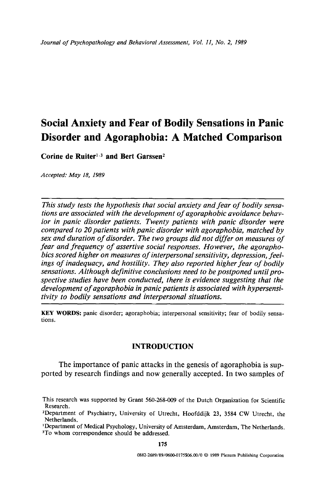# **Social Anxiety and Fear of Bodily Sensations in Panic Disorder and Agoraphobia: A Matched Comparison**

Corine de Ruiter<sup>1,3</sup> and Bert Garssen<sup>2</sup>

*Accepted: May 18, 1989* 

*This study tests the hypothesis that social anxiety and fear of bodily sensations are associated with the development of agoraphobic avoidance behavior in panic disorder patients. Twenty patients with panic disorder were compared to 20 patients with panic disorder with agoraphobia, matched by sex and duration of disorder. The two groups did not differ on measures of fear and frequency of assertive social responses. However, the agoraphobics scored higher on measures of interpersonal sensitivity, depression, feelings of inadequacy, and hostility. They also reported higher fear of bodily sensations. Although definitive conclusions need to be postponed until prospective studies have been conducted, there is evidence suggesting that the development of agoraphobia in panic patients is associated with hypersensitivity to bodily sensations and interpersonal situations.* 

**KEY WORDS:** panic disorder; agoraphobia; interpersonal sensitivity; fear of bodily sensations.

# **INTRODUCTION**

The importance of panic attacks in the genesis of agoraphobia is supported by research findings and now generally accepted. In two samples of

This research was supported by Grant 560-268-009 of the Dutch Organization for Scientific Research.

<sup>2</sup>Department of Psychiatry, University of Utrecht, Hoofddijk 23, 3584 CW Utrecht, **the**  Netherlands.

<sup>&</sup>lt;sup>1</sup>Department of Medical Psychology, University of Amsterdam, Amsterdam, The Netherlands. 3To whom correspondence should be **addressed.**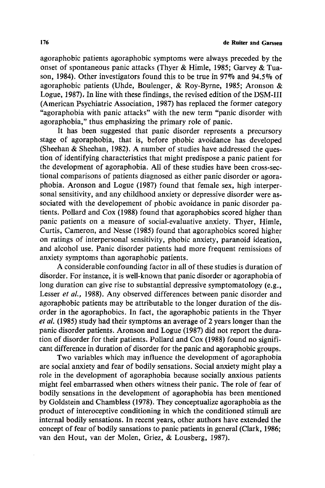agoraphobic patients agoraphobic symptoms were always preceded by the onset of spontaneous panic attacks (Thyer & Himle, 1985; Garvey & Tuason, 1984). Other investigators found this to be true in 97% and 94.5% of agoraphobic patients (Uhde, Boulenger, & Roy-Byrne, 1985; Aronson & Logue, 1987), In line with these findings, the revised edition of the DSM-III (American Psychiatric Association, 1987) has replaced the former category "agoraphobia with panic attacks" with the new term "panic disorder with agoraphobia," thus emphasizing the primary role of panic.

It has been suggested that panic disorder represents a precursory stage of agoraphobia, that is, before phobic avoidance has developed (Sheehan & Sheehan, 1982). A number of studies have addressed the question of identifying characteristics that might predispose a panic patient for the development of agoraphobia. All of these studies have been cross-sectional comparisons of patients diagnosed as either panic disorder or agoraphobia. Aronson and Logue (1987) found that female sex, high interpersonal sensitivity, and any childhood anxiety or depressive disorder were associated with the developement of phobic avoidance in panic disorder patients. Pollard and Cox (1988) found that agoraphobics scored higher than panic patients on a measure of social-evaluative anxiety. Thyer, Himle, Curtis, Cameron, and Nesse (1985) found that agoraphobics scored higher on ratings of interpersonal sensitivity, phobic anxiety, paranoid ideation, and alcohol use. Panic disorder patients had more frequent remissions of anxiety symptoms than agoraphobic patients.

A considerable confounding factor in all of these studies is duration of disorder. For instance, it is well-known that panic disorder or agoraphobia of long duration can give rise to substantial depressive symptomatology (e.g., Lesser *et al.,* 1988). Any observed differences between panic disorder and agoraphobic patients may be attributable to the longer duration of the disorder in the agoraphobics. In fact, the agoraphobic patients in the Thyer *et al.* (1985) study had their symptoms an average of 2 years longer than the panic disorder patients. Aronson and Logue (1987) did not report the duration of disorder for their patients. Pollard and Cox (1988) found no significant difference in duration of disorder for the panic and agoraphobic groups.

Two variables which may influence the development of agoraphobia are social anxiety and fear of bodily sensations. Social anxiety might play a role in the development of agoraphobia because socially anxious patients might feel embarrassed when others witness their panic. The role of fear of bodily sensations in the development of agoraphobia has been mentioned by Goldstein and Chambless (1978). They conceptualize agoraphobia as the product of interoceptive conditioning in which the conditioned stimuli are internal bodily sensations. In recent years, other authors have extended the concept of fear of bodily sansations to panic patients in general (Clark, 1986; van den Hout, van der Molen, Griez, & Lousberg, 1987).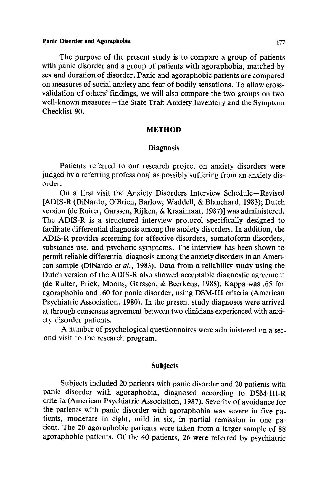## Panic Disorder and **Agoraphobia** 177

The purpose of the present study is to compare a group of patients with panic disorder and a group of patients with agoraphobia, matched by sex and duration of disorder. Panic and agoraphobic patients are compared on measures of social anxiety and fear of bodily sensations. To allow crossvalidation of others' findings, we will also compare the two groups on two well-known measures-the State Trait Anxiety Inventory and the Symptom Checklist-90.

## **METHOD**

## **Diagnosis**

Patients referred to our research project on anxiety disorders were judged by a referring professional as possibly suffering from an anxiety disorder.

On a first visit the Anxiety Disorders Interview Schedule-Revised [ADIS-R (DiNardo, O'Brien, Barlow, Waddell, & Blanchard, 1983); Dutch version (de Ruiter, Garssen, Rijken, & Kraaimaat, 1987)] was administered. The ADIS-R is a structured interview protocol specifically designed to facilitate differential diagnosis among the anxiety disorders. In addition, the ADIS-R provides screening for affective disorders, somatoform disorders, substance use, and psychotic symptoms. The interview has been shown to permit reliable differential diagnosis among the anxiety disorders in an American sample (DiNardo *et al.,* 1983). Data from a reliability study using the Dutch version of the ADIS-R also showed acceptable diagnostic agreement (de Ruiter, Prick, Moons, Garssen, & Beerkens, 1988). Kappa was .65 for agoraphobia and .60 for panic disorder, using DSM-III criteria (American Psychiatric Association, 1980). In the present study diagnoses were arrived at through consensus agreement between two clinicians experienced with anxiety disorder patients.

A number of psychological questionnaires were administered on a second visit to the research program.

## **Subjects**

Subjects included 20 patients with panic disorder and 20 patients with panic disorder with agoraphobia, diagnosed according to DSM-III-R criteria (American Psychiatric Association, 1987). Severity of avoidance for the patients with panic disorder with agoraphobia was severe in five patients, moderate in eight, mild in six, in partial remission in one patient. The 20 agoraphobic patients were taken from a larger sample of 88 agoraphobic patients. Of the 40 patients, 26 were referred by psychiatric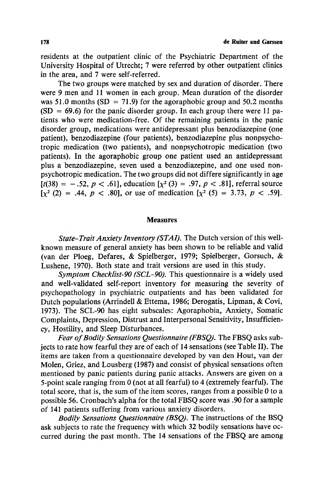residents at the outpatient clinic of the Psychiatric Department of the University Hospital of Utrecht; 7 were referred by other outpatient clinics in the area, and 7 were self-referred.

The two groups were matched by sex and duration of disorder. There were 9 men and 11 women in each group. Mean duration of the disorder was 51.0 months (SD = 71.9) for the agoraphobic group and 50.2 months  $(SD = 69.6)$  for the panic disorder group. In each group there were 11 patients who were medication-free. Of the remaining patients in the panic disorder group, medications were antidepressant plus benzodiazepine (one patient), benzodiazepine (four patients), benzodiazepine plus nonpsychotropic medication (two patients), and nonpsychotropic medication (two patients). In the agoraphobic group one patient used an antidepressant plus a benzodiazepine, seven used a benzodiazepine, and one used nonpsychotropic medication. The two groups did not differe significantly in age  $[t(38) = -.52, p < .61]$ , education  $[x^2(3) = .97, p < .81]$ , referral source  $[\chi^2 (2) = .44, p < .80]$ , or use of medication  $[\chi^2 (5) = 3.73, p < .59]$ .

### **Measures**

*State-Trait Anxiety Inventory (STAI).* The Dutch version of this wellknown measure of general anxiety has been shown to be reliable and valid (van der Ploeg, Defares, & Spielberger, 1979; Spielberger, Gorsuch, & Lushene, 1970). Both state and trait versions are used in this study.

*Symptom Checkfist-90 (SCL-90).* This questionnaire is a widely used and well-validated self-report inventory for measuring the severity of psychopathology in psychiatric outpatients and has been validated for Dutch populations (Arrindell & Ettema, 1986; Derogatis, Lipman, & Covi, 1973). The SCL-90 has eight subscales: Agoraphobia, Anxiety, Somatic Complaints, Depression, Distrust and Interpersonal Sensitivity, Insufficiency, Hostility, and Sleep Disturbances.

*Fear of Bodily Sensations Questionnaire (FBSQ).* The FBSQ asks subjects to rate how fearful they are of each of 14 sensations (see Table II). The items are taken from a questionnaire developed by van den Hout, van der Molen, Griez, and Lousberg (1987) and consist of physical sensations often mentioned by panic patients during panic attacks. Answers are given on a 5-point scale ranging from 0 (not at all fearful) to 4 (extremely fearful). The total score, that is, the sum of the item scores, ranges from a possible 0 to a possible 56. Cronbach's alpha for the total FBSQ score was .90 for a sample of 141 patients suffering from various anxiety disorders.

*Bodily Sensations Questionnaire (BSQ).* The instructions of the BSQ ask subjects to rate the frequency with which 32 bodily sensations have occurred during the past month. The 14 sensations of the FBSQ are among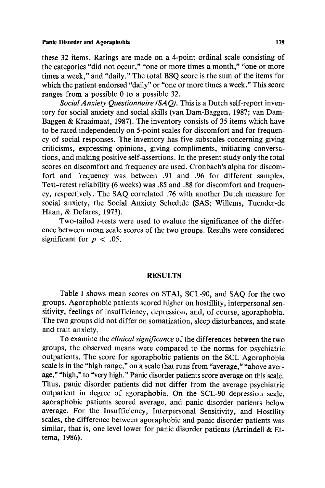#### **Panic Disorder and Agoraphobia 179 Panic Disorder and Agoraphobia**

these 32 items. Ratings are made on a 4-point ordinal scale consisting of the categories "did not occur," "one or more times a month," "one or more times a week," and "daily." The total BSQ score is the sum of the items for which the patient endorsed "daily" or "one or more times a week." This score ranges from a possible 0 to a possible 32.

*SocialAnxiety Questionnaire (SAQ).* This is a Dutch self-report inventory for social anxiety and social skills (van Dam-Baggen, 1987; van Dam-Baggen & Kraaimaat, 1987). The inventory consists of 35 items which have to be rated independently on 5-point scales for discomfort and for frequency of social responses. The inventory has five subscales concerning giving criticisms, expressing opinions, giving compliments, initiating conversations, and making positive self-assertions. In the present study only the total scores on discomfort and frequency are used. Cronbach's alpha for discomfort and frequency was between .91 and .96 for different samples. Test-retest reliability (6 weeks) was .85 and .88 for discomfort and frequency, respectively. The SAQ correlated .76 with another Dutch measure for social anxiety, the Social Anxiety Schedule (SAS; Willems, Tuender-de Haan, & Defares, 1973).

Two-tailed *t*-tests were used to evalute the significance of the difference between mean scale scores of the two groups. Results were considered significant for  $p < .05$ .

## **RESULTS**

Table I shows mean scores on STAI, SCL-90, and SAQ for the two groups. Agoraphobic patients scored higher on hostillity, interpersonal sensitivity, feelings of insufficiency, depression, and, of course, agoraphobia. The two groups did not differ on somatization, sleep disturbances, and state and trait anxiety.

To examine the *clinical significance* of the differences between the two groups, the observed means were compared to the norms for psychiatric outpatients. The score for agoraphobic patients on the SCL Agoraphobia scale is in the "high range," on a scale that runs from "average," "above average," "high," to "very high." Panic disorder patients score average on this scale. Thus, panic disorder patients did not differ from the average psychiatric outpatient in degree of agoraphobia. On the SCL-90 depression scale, agoraphobic patients scored average, and panic disorder patients below average. For the Insufficiency, Interpersonal Sensitivity, and Hostility scales, the difference between agoraphobic and panic disorder patients was similar, that is, one level lower for panic disorder patients (Arrindell  $\&$  Ettema, 1986).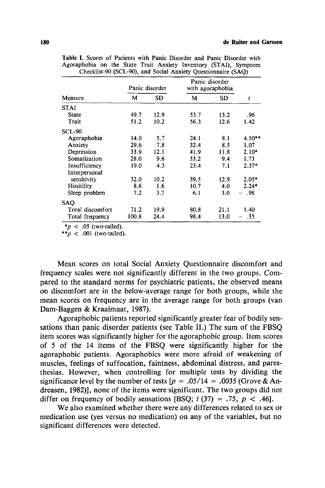| Measure          | Panic disorder |      | Panic disorder<br>with agoraphobia |      |          |
|------------------|----------------|------|------------------------------------|------|----------|
|                  | м              | SD   | М                                  | SD   | t        |
| <b>STAI</b>      |                |      |                                    |      |          |
| State            | 49.7           | 12.9 | 53.7                               | 13.2 | .96      |
| Trait            | 51.2           | 10.2 | 56.3                               | 12.6 | 1.42     |
| <b>SCL-90</b>    |                |      |                                    |      |          |
| Agoraphobia      | 14.0           | 5.7  | 24.1                               | 8.1  | $4.50**$ |
| Anxiety          | 29.6           | 7.8  | 32.4                               | 8.5  | 1.07     |
| Depression       | 33.9           | 12.1 | 41.9                               | 11.8 | $2.10*$  |
| Somatization     | 28.0           | 9.6  | 33.2                               | 9.4  | 1.73     |
| Insufficiency    | 19.0           | 4.3  | 23.4                               | 7.1  | $2.37*$  |
| Interpersonal    |                |      |                                    |      |          |
| sensitivity      | 32.0           | 10.2 | 39.5                               | 12.9 | $2.05*$  |
| Hositility       | 8.6            | 1.6  | 10.7                               | 4.0  | $2.24*$  |
| Sleep problem    | 7.2            | 3.7  | 6.1                                | 3.0  | .98      |
| <b>SAQ</b>       |                |      |                                    |      |          |
| Total discomfort | 71.2           | 19.9 | 80.8                               | 21.1 | 1.40     |
| Total frequency  | 100.8          | 24.4 | 98.4                               | 13.0 | .35      |

**Table** I. Scores of Patients with Panic Disorder and Panic Disorder with Agoraphobia on the State Trait Anxiety Inventory (STAI), Symptom Checklist-90 (SCL-90), and Social Anxiety Questionnaire (SAQ)

 $*<sub>p</sub>$  < .05 (two-tailed).

\*\* $p < .001$  (two-tailed).

Mean scores on total Social Anxiety Questionnaire discomfort and frequency scales were not significantly different in the two groups. Compared to the standard norms for psychiatric patients, the observed means on discomfort are in the below-average range for both groups, while the mean scores on frequency are in the average range for both groups (van Dam-Baggen & Kraaimaat, 1987).

Agoraphobic patients reported significantly greater fear of bodily sensations than panic disorder patients (see Table II.) The sum of the FBSQ item scores was significantly higher for the agoraphobic group. Item scores of 5 of the 14 items of the FBSQ were significantly higher for the agoraphobic patients. Agoraphobics were more afraid of weakening of muscles, feelings of suffocation, faintness, abdominal distress, and paresthesias. However, when controlling for multiple tests by dividing the significance level by the number of tests  $[p = .05/14 = .0035$  (Grove & Andreasen, 1982)], none of the items were significant. The two groups did not differ on frequency of bodily sensations [BSQ;  $t$  (37) = .75,  $p < .46$ ].

We also examined whether there were any differences related to sex or medication use (yes versus no medication) on any of the variables, but no significant differences were detected.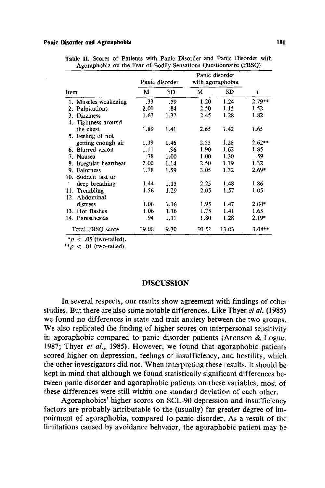#### **Panic Disorder and Agoraphobia 181**

|      |                        | Panic disorder  |           | Panic disorder<br>with agoraphobia |       |          |
|------|------------------------|-----------------|-----------|------------------------------------|-------|----------|
| Item |                        | м               | <b>SD</b> | М                                  | SD    | t        |
|      | 1. Muscles weakening   | $\overline{33}$ | 39.       | 1.20                               | 1.24  | $2.79**$ |
|      | 2. Palpitations        | 2.00            | .84       | 2.50                               | 1.15  | 1.52     |
|      | 3. Dizziness           | 1.67            | 1.37      | 2.45                               | 1.28  | 1.82     |
|      | 4. Tightness around    |                 |           |                                    |       |          |
|      | the chest              | 1.89            | 1.41      | 2.65                               | 1.42  | 1.65     |
|      | 5. Feeling of not      |                 |           |                                    |       |          |
|      | getting enough air     | 1.39            | 1.46      | 2.55                               | 1.28  | $2.62**$ |
|      | 6. Blurred vision      | 1.11            | .96       | 1.90                               | 1.62  | 1.85     |
|      | 7. Nausea              | .78             | 1.00      | 1.00                               | 1.30  | -59      |
|      | 8. Irregular heartbeat | 2.00            | 1.14      | 2.50                               | 1.19  | 1.32     |
|      | 9. Faintness           | 1.78            | 1.59      | 3.05                               | 1.32  | $2.69*$  |
|      | 10. Sudden fast or     |                 |           |                                    |       |          |
|      | deep breathing         | 1.44            | 1.15      | 2.25                               | 1.48  | 1.86     |
|      | 11. Trembling          | 1.56            | 1.29      | 2.05                               | 1.57  | 1.05     |
|      | 12. Abdominal          |                 |           |                                    |       |          |
|      | distress               | 1.06            | 1.16      | 1.95                               | 1.47  | $2.04*$  |
|      | 13. Hot flashes        | 1.06            | 1.16      | 1.75                               | 1.41  | 1.65     |
|      | 14. Paresthesias       | .94             | 1.11      | 1.80                               | 1.28  | $2.19*$  |
|      | Total FBSQ score       | 19.00           | 9.30      | 30.53                              | 13.03 | $3.08**$ |

Table II. Scores of Patients with Panic Disorder and Panic Disorder with Agoraphobia on the Fear of Bodily Sensations Questionnaire (FBSQ)

\*p  $\lt$  .05 (two-tailed).

\*\* $p < .01$  (two-tailed).

#### DISCUSSION

In several respects, our results show agreement with findings of other studies. But there are also some notable differences. Like Thyer *et aL* (1985) we found no differences in state and trait anxiety between the two groups. We also replicated the finding of higher scores on interpersonal sensitivity in agoraphobic compared to panic disorder patients (Aronson & Logue, 1987; Thyer *et al.,* 1985). However, we found that agoraphobic patients scored higher on depression, feelings of insufficiency, and hostility, which the other investigators did not. When interpreting these results, it should be kept in mind that although we found statistically significant differences between panic disorder and agoraphobic patients on these variables, most of these differences were still within one standard deviation of each other.

Agoraphobics' higher scores on SCL-90 depression and insufficiency factors are probably attributable to the (usually) far greater degree of impairment of agoraphobia, compared to panic disorder. As a result of the limitations caused by avoidance behvaior, the agoraphobic patient may be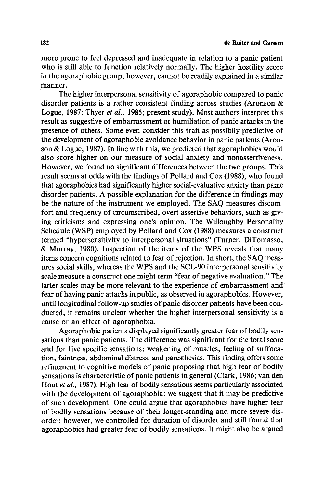more prone to feel depressed and inadequate in relation to a panic patient who is still able to function relatively normally. The higher hostility score in the agoraphobic group, however, cannot be readily explained in a similar manner.

The higher interpersonal sensitivity of agoraphobic compared to panic disorder patients is a rather consistent finding across studies (Aronson  $\&$ Logue, 1987; Thyer *et aL,* 1985; present study). Most authors interpret this result as suggestive of embarrassment or humiliation of panic attacks in the presence of others. Some even consider this trait as possibily predictive of the development of agoraphobic avoidance behavior in panic patients (Aronson & Logue, 1987). In line with this, we predicted that agoraphobics would also score higher on our measure of social anxiety and nonassertiveness. However, we found no significant differences between the two groups. This result seems at odds with the findings of Pollard and Cox (1988), who found that agoraphobics had significantly higher social-evaluative anxiety than panic disorder patients. A possible explanation for the difference in findings may be the nature of the instrument we employed. The SAQ measures discomfort and frequency of circumscribed, overt assertive behaviors, such as giving criticisms and expressing one's opinion. The Willoughby Personality Schedule (WSP) employed by Pollard and Cox (1988) measures a construct termed "hypersensitivity to interpersonal situations" (Turner, DiTomasso, & Murray, 1980). Inspection of the items of the WPS reveals that many items concem cognitions related to fear of rejection. In short, the SAQ measures social skills, whereas the WPS and the SCL-90 interpersonal sensitivity scale measure a construct one might term "fear of negative evaluation." The latter scales may be more relevant to the experience of embarrassment and fear of having panic attacks in public, as observed in agoraphobics. However, until longitudinal follow-up studies of panic disorder patients have been conducted, it remains unclear whether the higher interpersonal sensitivity is a cause or an effect of agoraphobia.

Agoraphobic patients displayed significantly greater fear of bodily sensations than panic patients. The difference was significant for the total score and for five specific sensations: weakening of muscles, feeling of suffocation, faintness, abdominal distress, and paresthesias. This finding offers some refinement to cognitive models of panic proposing that high fear of bodily sensations is characteristic of panic patients in general (Clark, 1986; van den Hout *et ai.,* 1987). High fear of bodily sensations seems particularly associated with the development of agoraphobia: we suggest that it may be predictive of such development. One could argue that agoraphobics have higher fear of bodily sensations because of their longer-standing and more severe disorder; however, we controlled for duration of disorder and still found that agoraphobics had greater fear of bodily sensations. It might also be argued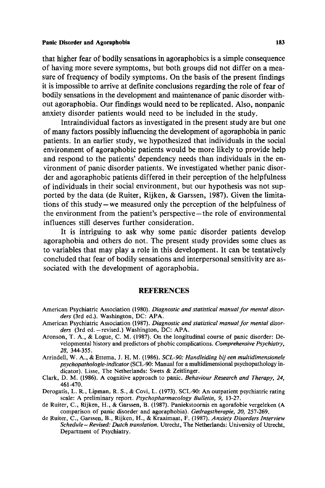### **Panic Disorder and Agoraphobia** 183

that higher fear of bodily sensations in agoraphobics is a simple consequence of having more severe symptoms, but both groups did not differ on a measure of frequency of bodily symptoms. On the basis of the present findings it is impossible to arrive at definite conclusions regarding the role of fear of bodily sensations in the development and maintenance of panic disorder without agoraphobia. Our findings would need to be replicated. Also, nonpanic anxiety disorder patients would need to be included in the study.

Intraindividual factors as investigated in the present study are but one of many factors possibly influencing the development of agoraphobia in panic patients. In an earlier study, we hypothesized that individuals in the social environment of agoraphobic patients would be more likely to provide help and respond to the patients' dependency needs than individuals in the environment of panic disorder patients. We investigated whether panic disorder and agoraphobic patients differed in their perception of the helpfulness of individuals in their social environment, but our hypothesis was not supported by the data (de Ruiter, Rijken, & Garssen, 1987). Given the limitations of this study-we measured only the perception of the helpfulness of the environment from the patient's perspective-the role of environmental influences still deserves further consideration.

It is intriguing to ask why some panic disorder patients develop agoraphobia and others do not. The present study provides some clues as to variables that may play a role in this development. It can be tentatively concluded that fear of bodily sensations and interpersonal sensitivity are associated with the development of agoraphobia.

## **REFERENCES**

- American Psychiatric Association (1980). *Diagnostic and statistical manual for mental disorders* (3rd ed.). Washington, DC: APA.
- American Psychiatric Association (1987). *Diagnostic and statistical manual for mental disor*ders (3rd ed.-revised.) Washington, DC: APA.
- Aronson, T. A., & Logue, C. M. (1987). On the longitudinal course of panic disorder: Developmental history and predictors of phobic complications. *Comprehensive Psychiatry, 28,* 344-355.
- Arrindell, W. A., & Ettema, J. H. M. (1986). *SCL-90: Handleiding bij een multidimensionele psychopathologie-indicator* (SCL-90: Manual for a multidimensional psychopathology indicator). Lisse, The Netherlands: Swets & Zeitlinger.
- Clark, D. M. (1986). A cognitive approach to panic. *Behaviour Research and Therapy, 24,*  461-470.
- Derogatis, L. R., Lipman, R. S., & Covi, L. (1973). SCL-90: An outpatient psychiatric rating scale: A preliminary report. *Psychopharmacology Bulletin, 9,* 13-27.
- de Ruiter, C., Rijken, H., & Garssen, B. (1987). Paniekstoornis en agorafobie vergeleken (A comparison of panic disorder and agoraphobia). *Gedragstherapie, 20,* 257-269.
- de Ruiter, C., Garssen, B., Rijken, H., & Kraaimaat, F. (1987). *Anxiety Disorders Interview Schedule-Revised: Dutch translation.* Utrecht, The Netherlands: University of Utrecht, Department of Psychiatry.